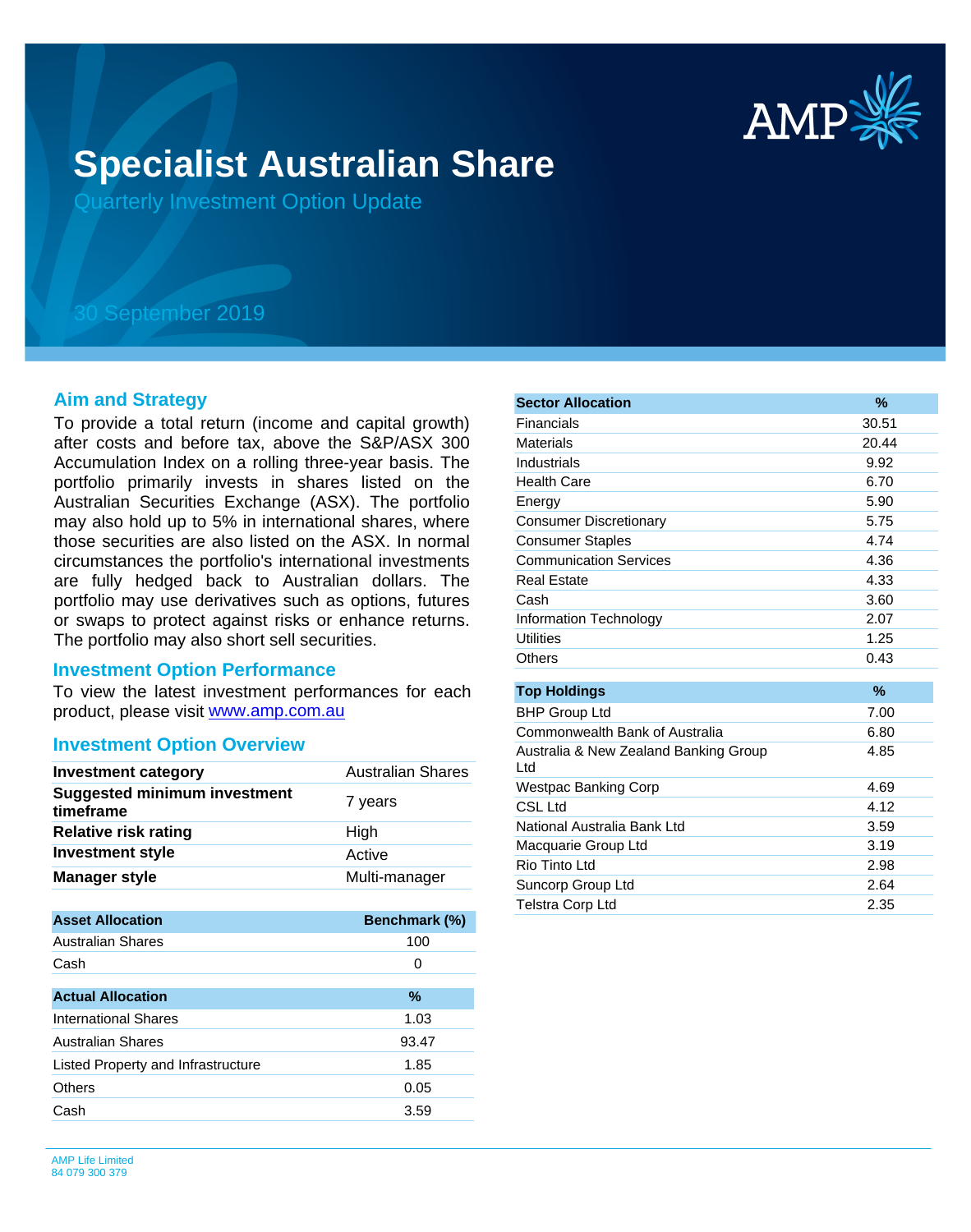

# **Specialist Australian Share**

Quarterly Investment Option Update

## 30 September 2019

#### **Aim and Strategy**

To provide a total return (income and capital growth) after costs and before tax, above the S&P/ASX 300 Accumulation Index on a rolling three-year basis. The portfolio primarily invests in shares listed on the Australian Securities Exchange (ASX). The portfolio may also hold up to 5% in international shares, where those securities are also listed on the ASX. In normal circumstances the portfolio's international investments are fully hedged back to Australian dollars. The portfolio may use derivatives such as options, futures or swaps to protect against risks or enhance returns. The portfolio may also short sell securities.

#### **Investment Option Performance**

product, please visit [www.amp.com.au](https://www.amp.com.au) To view the latest investment performances for each

### **Investment Option Overview**

| <b>Investment category</b>                       | <b>Australian Shares</b> |
|--------------------------------------------------|--------------------------|
| <b>Suggested minimum investment</b><br>timeframe | 7 years                  |
| <b>Relative risk rating</b>                      | High                     |
| <b>Investment style</b>                          | Active                   |
| <b>Manager style</b>                             | Multi-manager            |
|                                                  |                          |
| <b>Asset Allocation</b>                          | Benchmark (%)            |
| <b>Australian Shares</b>                         | 100                      |
| Cash                                             | 0                        |
| <b>Actual Allocation</b>                         | $\%$                     |
| <b>International Shares</b>                      | 1.03                     |
| <b>Australian Shares</b>                         | 93.47                    |
| Listed Property and Infrastructure               | 1.85                     |
| Others                                           | 0.05                     |
| Cash                                             | 3.59                     |

| <b>Sector Allocation</b>                     | %     |
|----------------------------------------------|-------|
| Financials                                   | 30.51 |
| <b>Materials</b>                             | 20.44 |
| Industrials                                  | 9.92  |
| <b>Health Care</b>                           | 6.70  |
| Energy                                       | 5.90  |
| <b>Consumer Discretionary</b>                | 5.75  |
| <b>Consumer Staples</b>                      | 4.74  |
| <b>Communication Services</b>                | 4.36  |
| <b>Real Estate</b>                           | 4.33  |
| Cash                                         | 3.60  |
| Information Technology                       | 2.07  |
| <b>Utilities</b>                             | 1.25  |
| Others                                       | 0.43  |
|                                              | $\%$  |
| <b>Top Holdings</b>                          |       |
| <b>BHP Group Ltd</b>                         | 7.00  |
| Commonwealth Bank of Australia               | 6.80  |
| Australia & New Zealand Banking Group<br>Ltd | 4.85  |
| <b>Westpac Banking Corp</b>                  | 4.69  |
| CSL Ltd                                      | 4.12  |
| National Australia Bank Ltd                  | 3.59  |
| Macquarie Group Ltd                          | 3.19  |
| Rio Tinto Ltd                                | 2.98  |
| Suncorp Group Ltd                            | 2.64  |
| Telstra Corp Ltd                             | 2.35  |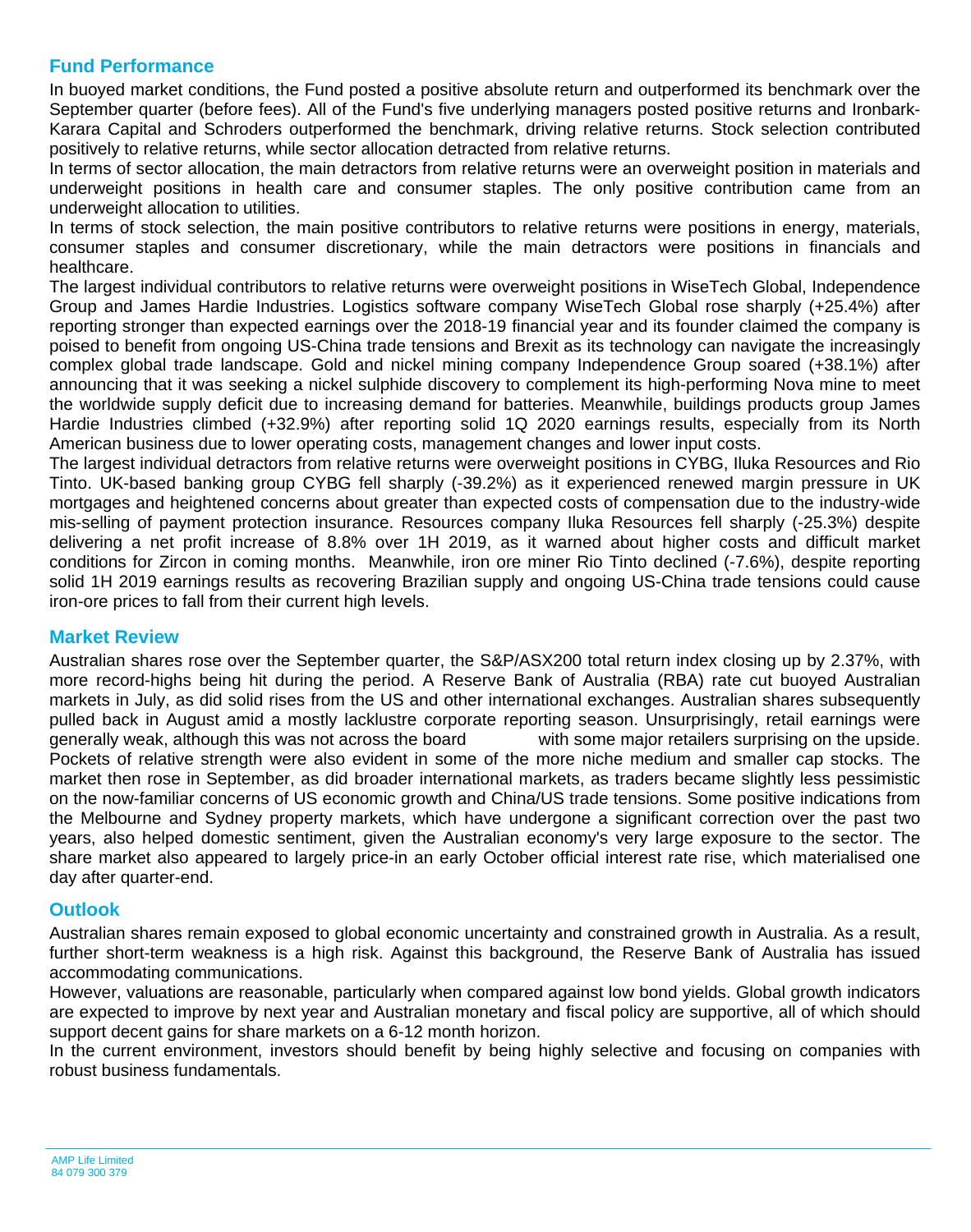## **Fund Performance**

In buoyed market conditions, the Fund posted a positive absolute return and outperformed its benchmark over the September quarter (before fees). All of the Fund's five underlying managers posted positive returns and Ironbark-Karara Capital and Schroders outperformed the benchmark, driving relative returns. Stock selection contributed positively to relative returns, while sector allocation detracted from relative returns.

In terms of sector allocation, the main detractors from relative returns were an overweight position in materials and underweight positions in health care and consumer staples. The only positive contribution came from an underweight allocation to utilities.

In terms of stock selection, the main positive contributors to relative returns were positions in energy, materials, consumer staples and consumer discretionary, while the main detractors were positions in financials and healthcare.

The largest individual contributors to relative returns were overweight positions in WiseTech Global, Independence Group and James Hardie Industries. Logistics software company WiseTech Global rose sharply (+25.4%) after reporting stronger than expected earnings over the 2018-19 financial year and its founder claimed the company is poised to benefit from ongoing US-China trade tensions and Brexit as its technology can navigate the increasingly complex global trade landscape. Gold and nickel mining company Independence Group soared (+38.1%) after announcing that it was seeking a nickel sulphide discovery to complement its high-performing Nova mine to meet the worldwide supply deficit due to increasing demand for batteries. Meanwhile, buildings products group James Hardie Industries climbed (+32.9%) after reporting solid 1Q 2020 earnings results, especially from its North American business due to lower operating costs, management changes and lower input costs.

The largest individual detractors from relative returns were overweight positions in CYBG, Iluka Resources and Rio Tinto. UK-based banking group CYBG fell sharply (-39.2%) as it experienced renewed margin pressure in UK mortgages and heightened concerns about greater than expected costs of compensation due to the industry-wide mis-selling of payment protection insurance. Resources company Iluka Resources fell sharply (-25.3%) despite delivering a net profit increase of 8.8% over 1H 2019, as it warned about higher costs and difficult market conditions for Zircon in coming months. Meanwhile, iron ore miner Rio Tinto declined (-7.6%), despite reporting solid 1H 2019 earnings results as recovering Brazilian supply and ongoing US-China trade tensions could cause iron-ore prices to fall from their current high levels.

### **Market Review**

Australian shares rose over the September quarter, the S&P/ASX200 total return index closing up by 2.37%, with more record-highs being hit during the period. A Reserve Bank of Australia (RBA) rate cut buoyed Australian markets in July, as did solid rises from the US and other international exchanges. Australian shares subsequently pulled back in August amid a mostly lacklustre corporate reporting season. Unsurprisingly, retail earnings were generally weak, although this was not across the board with some major retailers surprising on the upside. Pockets of relative strength were also evident in some of the more niche medium and smaller cap stocks. The market then rose in September, as did broader international markets, as traders became slightly less pessimistic on the now-familiar concerns of US economic growth and China/US trade tensions. Some positive indications from the Melbourne and Sydney property markets, which have undergone a significant correction over the past two years, also helped domestic sentiment, given the Australian economy's very large exposure to the sector. The share market also appeared to largely price-in an early October official interest rate rise, which materialised one day after quarter-end.

### **Outlook**

Australian shares remain exposed to global economic uncertainty and constrained growth in Australia. As a result, further short-term weakness is a high risk. Against this background, the Reserve Bank of Australia has issued accommodating communications.

However, valuations are reasonable, particularly when compared against low bond yields. Global growth indicators are expected to improve by next year and Australian monetary and fiscal policy are supportive, all of which should support decent gains for share markets on a 6-12 month horizon.

In the current environment, investors should benefit by being highly selective and focusing on companies with robust business fundamentals.